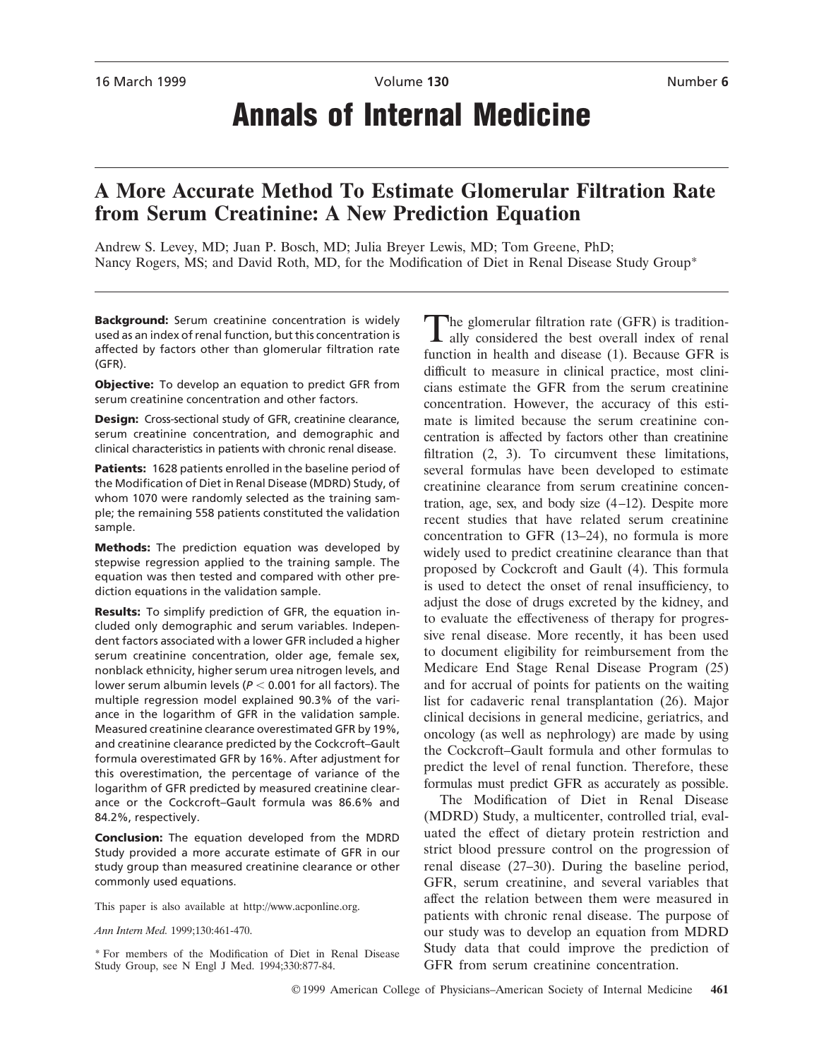# **Annals of Internal Medicine**

# **A More Accurate Method To Estimate Glomerular Filtration Rate from Serum Creatinine: A New Prediction Equation**

Andrew S. Levey, MD; Juan P. Bosch, MD; Julia Breyer Lewis, MD; Tom Greene, PhD; Nancy Rogers, MS; and David Roth, MD, for the Modification of Diet in Renal Disease Study Group\*

**Background:** Serum creatinine concentration is widely used as an index of renal function, but this concentration is affected by factors other than glomerular filtration rate (GFR).

**Objective:** To develop an equation to predict GFR from serum creatinine concentration and other factors.

**Design:** Cross-sectional study of GFR, creatinine clearance, serum creatinine concentration, and demographic and clinical characteristics in patients with chronic renal disease.

**Patients:** 1628 patients enrolled in the baseline period of the Modification of Diet in Renal Disease (MDRD) Study, of whom 1070 were randomly selected as the training sample; the remaining 558 patients constituted the validation sample.

**Methods:** The prediction equation was developed by stepwise regression applied to the training sample. The equation was then tested and compared with other prediction equations in the validation sample.

**Results:** To simplify prediction of GFR, the equation included only demographic and serum variables. Independent factors associated with a lower GFR included a higher serum creatinine concentration, older age, female sex, nonblack ethnicity, higher serum urea nitrogen levels, and lower serum albumin levels ( $P < 0.001$  for all factors). The multiple regression model explained 90.3% of the variance in the logarithm of GFR in the validation sample. Measured creatinine clearance overestimated GFR by 19%, and creatinine clearance predicted by the Cockcroft–Gault formula overestimated GFR by 16%. After adjustment for this overestimation, the percentage of variance of the logarithm of GFR predicted by measured creatinine clearance or the Cockcroft–Gault formula was 86.6% and 84.2%, respectively.

**Conclusion:** The equation developed from the MDRD Study provided a more accurate estimate of GFR in our study group than measured creatinine clearance or other commonly used equations.

This paper is also available at http://www.acponline.org.

*Ann Intern Med.* 1999;130:461-470.

\* For members of the Modification of Diet in Renal Disease Study Group, see N Engl J Med. 1994;330:877-84.

The glomerular filtration rate (GFR) is tradition-<br>ally considered the best overall index of renal function in health and disease (1). Because GFR is difficult to measure in clinical practice, most clinicians estimate the GFR from the serum creatinine concentration. However, the accuracy of this estimate is limited because the serum creatinine concentration is affected by factors other than creatinine filtration  $(2, 3)$ . To circumvent these limitations, several formulas have been developed to estimate creatinine clearance from serum creatinine concentration, age, sex, and body size (4–12). Despite more recent studies that have related serum creatinine concentration to GFR (13–24), no formula is more widely used to predict creatinine clearance than that proposed by Cockcroft and Gault (4). This formula is used to detect the onset of renal insufficiency, to adjust the dose of drugs excreted by the kidney, and to evaluate the effectiveness of therapy for progressive renal disease. More recently, it has been used to document eligibility for reimbursement from the Medicare End Stage Renal Disease Program (25) and for accrual of points for patients on the waiting list for cadaveric renal transplantation (26). Major clinical decisions in general medicine, geriatrics, and oncology (as well as nephrology) are made by using the Cockcroft–Gault formula and other formulas to predict the level of renal function. Therefore, these formulas must predict GFR as accurately as possible.

The Modification of Diet in Renal Disease (MDRD) Study, a multicenter, controlled trial, evaluated the effect of dietary protein restriction and strict blood pressure control on the progression of renal disease (27–30). During the baseline period, GFR, serum creatinine, and several variables that affect the relation between them were measured in patients with chronic renal disease. The purpose of our study was to develop an equation from MDRD Study data that could improve the prediction of GFR from serum creatinine concentration.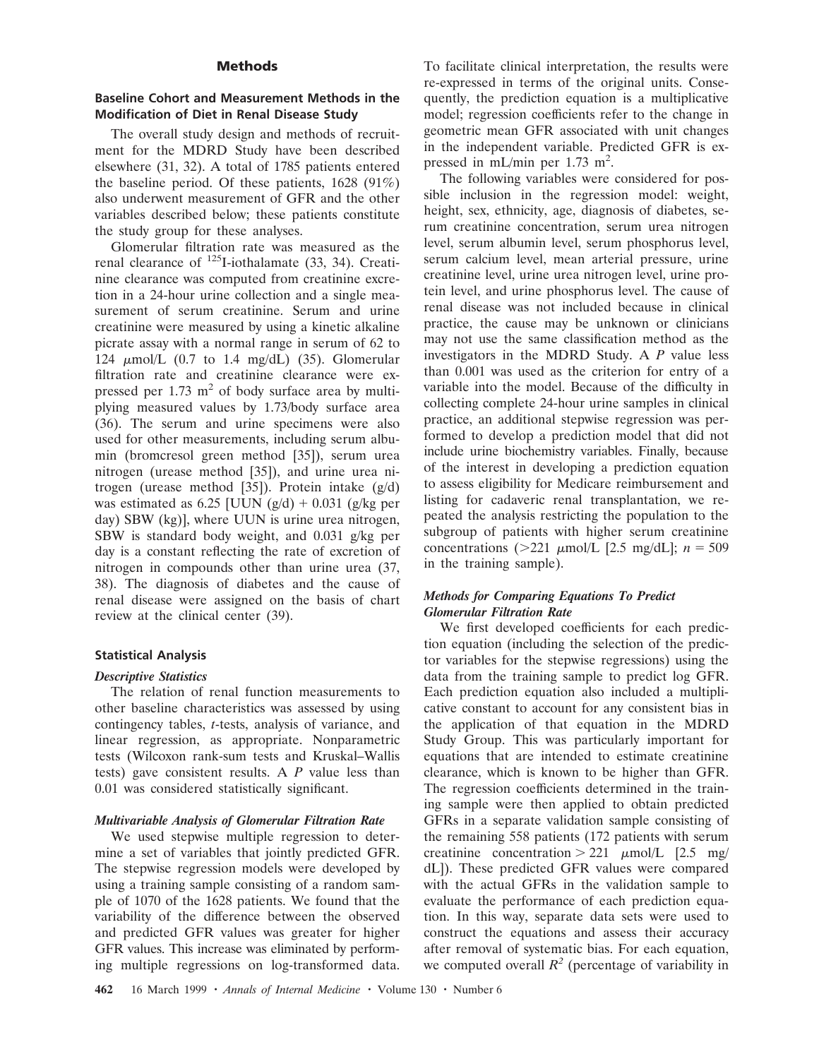#### **Methods**

# **Baseline Cohort and Measurement Methods in the Modification of Diet in Renal Disease Study**

The overall study design and methods of recruitment for the MDRD Study have been described elsewhere (31, 32). A total of 1785 patients entered the baseline period. Of these patients, 1628 (91%) also underwent measurement of GFR and the other variables described below; these patients constitute the study group for these analyses.

Glomerular filtration rate was measured as the renal clearance of  $^{125}$ I-iothalamate (33, 34). Creatinine clearance was computed from creatinine excretion in a 24-hour urine collection and a single measurement of serum creatinine. Serum and urine creatinine were measured by using a kinetic alkaline picrate assay with a normal range in serum of 62 to 124  $\mu$ mol/L (0.7 to 1.4 mg/dL) (35). Glomerular filtration rate and creatinine clearance were expressed per  $1.73 \text{ m}^2$  of body surface area by multiplying measured values by 1.73/body surface area (36). The serum and urine specimens were also used for other measurements, including serum albumin (bromcresol green method [35]), serum urea nitrogen (urease method [35]), and urine urea nitrogen (urease method [35]). Protein intake  $(g/d)$ was estimated as 6.25 [UUN  $(g/d) + 0.031$  (g/kg per day) SBW (kg)], where UUN is urine urea nitrogen, SBW is standard body weight, and 0.031 g/kg per day is a constant reflecting the rate of excretion of nitrogen in compounds other than urine urea (37, 38). The diagnosis of diabetes and the cause of renal disease were assigned on the basis of chart review at the clinical center (39).

#### **Statistical Analysis**

# *Descriptive Statistics*

The relation of renal function measurements to other baseline characteristics was assessed by using contingency tables, *t*-tests, analysis of variance, and linear regression, as appropriate. Nonparametric tests (Wilcoxon rank-sum tests and Kruskal–Wallis tests) gave consistent results. A *P* value less than 0.01 was considered statistically significant.

#### *Multivariable Analysis of Glomerular Filtration Rate*

We used stepwise multiple regression to determine a set of variables that jointly predicted GFR. The stepwise regression models were developed by using a training sample consisting of a random sample of 1070 of the 1628 patients. We found that the variability of the difference between the observed and predicted GFR values was greater for higher GFR values. This increase was eliminated by performing multiple regressions on log-transformed data.

To facilitate clinical interpretation, the results were re-expressed in terms of the original units. Consequently, the prediction equation is a multiplicative model; regression coefficients refer to the change in geometric mean GFR associated with unit changes in the independent variable. Predicted GFR is expressed in  $mL/min$  per 1.73 m<sup>2</sup>.

The following variables were considered for possible inclusion in the regression model: weight, height, sex, ethnicity, age, diagnosis of diabetes, serum creatinine concentration, serum urea nitrogen level, serum albumin level, serum phosphorus level, serum calcium level, mean arterial pressure, urine creatinine level, urine urea nitrogen level, urine protein level, and urine phosphorus level. The cause of renal disease was not included because in clinical practice, the cause may be unknown or clinicians may not use the same classification method as the investigators in the MDRD Study. A *P* value less than 0.001 was used as the criterion for entry of a variable into the model. Because of the difficulty in collecting complete 24-hour urine samples in clinical practice, an additional stepwise regression was performed to develop a prediction model that did not include urine biochemistry variables. Finally, because of the interest in developing a prediction equation to assess eligibility for Medicare reimbursement and listing for cadaveric renal transplantation, we repeated the analysis restricting the population to the subgroup of patients with higher serum creatinine concentrations  $(>221 \mu \text{mol/L} [2.5 \text{mg/dL}]; n = 509$ in the training sample).

# *Methods for Comparing Equations To Predict Glomerular Filtration Rate*

We first developed coefficients for each prediction equation (including the selection of the predictor variables for the stepwise regressions) using the data from the training sample to predict log GFR. Each prediction equation also included a multiplicative constant to account for any consistent bias in the application of that equation in the MDRD Study Group. This was particularly important for equations that are intended to estimate creatinine clearance, which is known to be higher than GFR. The regression coefficients determined in the training sample were then applied to obtain predicted GFRs in a separate validation sample consisting of the remaining 558 patients (172 patients with serum creatinine concentration  $> 221$   $\mu$ mol/L [2.5 mg/ dL]). These predicted GFR values were compared with the actual GFRs in the validation sample to evaluate the performance of each prediction equation. In this way, separate data sets were used to construct the equations and assess their accuracy after removal of systematic bias. For each equation, we computed overall  $R^2$  (percentage of variability in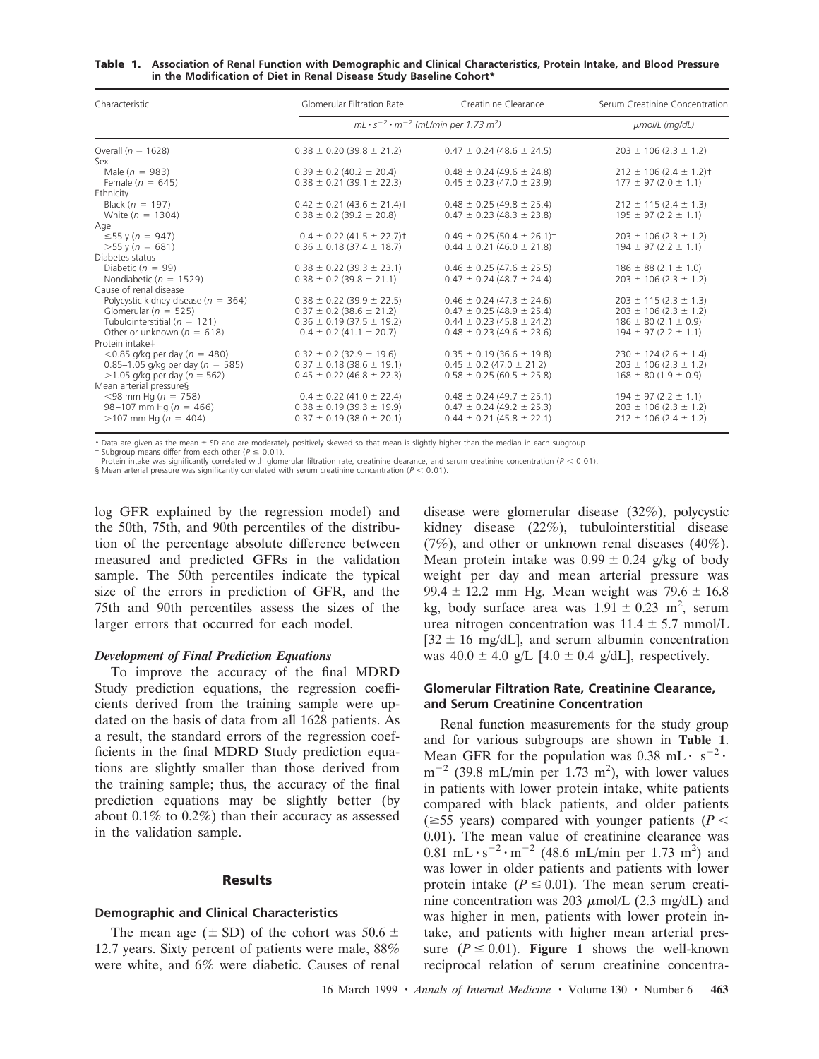| Table 1. Association of Renal Function with Demographic and Clinical Characteristics, Protein Intake, and Blood Pressure |  |  |
|--------------------------------------------------------------------------------------------------------------------------|--|--|
| in the Modification of Diet in Renal Disease Study Baseline Cohort*                                                      |  |  |

| Characteristic                          | <b>Glomerular Filtration Rate</b>             | Creatinine Clearance                                             | Serum Creatinine Concentration |
|-----------------------------------------|-----------------------------------------------|------------------------------------------------------------------|--------------------------------|
|                                         |                                               | $mL \cdot s^{-2} \cdot m^{-2}$ (mL/min per 1.73 m <sup>2</sup> ) |                                |
| Overall ( $n = 1628$ )                  | $0.38 \pm 0.20$ (39.8 $\pm$ 21.2)             | $0.47 \pm 0.24$ (48.6 $\pm$ 24.5)                                | $203 \pm 106 (2.3 \pm 1.2)$    |
| Sex                                     |                                               |                                                                  |                                |
| Male ( $n = 983$ )                      | $0.39 \pm 0.2$ (40.2 $\pm$ 20.4)              | $0.48 \pm 0.24$ (49.6 $\pm$ 24.8)                                | $212 \pm 106 (2.4 \pm 1.2)$ †  |
| Female ( $n = 645$ )                    | $0.38 \pm 0.21$ (39.1 $\pm$ 22.3)             | $0.45 \pm 0.23(47.0 \pm 23.9)$                                   | $177 \pm 97 (2.0 \pm 1.1)$     |
| Ethnicity                               |                                               |                                                                  |                                |
| Black ( $n = 197$ )                     | $0.42 \pm 0.21 (43.6 \pm 21.4)$ t             | $0.48 \pm 0.25$ (49.8 $\pm$ 25.4)                                | $212 \pm 115 (2.4 \pm 1.3)$    |
| White $(n = 1304)$                      | $0.38 \pm 0.2$ (39.2 $\pm$ 20.8)              | $0.47 \pm 0.23$ (48.3 $\pm$ 23.8)                                | $195 \pm 97 (2.2 \pm 1.1)$     |
| Age                                     |                                               |                                                                  |                                |
| ≤55 y (n = 947)                         | $0.4 \pm 0.22$ (41.5 $\pm$ 22.7) <sup>+</sup> | $0.49 \pm 0.25$ (50.4 $\pm$ 26.1) <sup>+</sup>                   | $203 \pm 106 (2.3 \pm 1.2)$    |
| $>55$ y (n = 681)                       | $0.36 \pm 0.18(37.4 \pm 18.7)$                | $0.44 \pm 0.21 (46.0 \pm 21.8)$                                  | $194 \pm 97 (2.2 \pm 1.1)$     |
| Diabetes status                         |                                               |                                                                  |                                |
| Diabetic $(n = 99)$                     | $0.38 \pm 0.22$ (39.3 $\pm$ 23.1)             | $0.46 \pm 0.25$ (47.6 $\pm$ 25.5)                                | $186 \pm 88$ (2.1 $\pm$ 1.0)   |
| Nondiabetic ( $n = 1529$ )              | $0.38 \pm 0.2$ (39.8 $\pm$ 21.1)              | $0.47 \pm 0.24$ (48.7 $\pm$ 24.4)                                | $203 \pm 106 (2.3 \pm 1.2)$    |
| Cause of renal disease                  |                                               |                                                                  |                                |
| Polycystic kidney disease ( $n = 364$ ) | $0.38 \pm 0.22$ (39.9 $\pm$ 22.5)             | $0.46 \pm 0.24$ (47.3 $\pm$ 24.6)                                | $203 \pm 115 (2.3 \pm 1.3)$    |
| Glomerular ( $n = 525$ )                | $0.37 \pm 0.2$ (38.6 $\pm$ 21.2)              | $0.47 \pm 0.25$ (48.9 $\pm$ 25.4)                                | $203 \pm 106 (2.3 \pm 1.2)$    |
| Tubulointerstitial ( $n = 121$ )        | $0.36 \pm 0.19$ (37.5 $\pm$ 19.2)             | $0.44 \pm 0.23$ (45.8 $\pm$ 24.2)                                | $186 \pm 80 (2.1 \pm 0.9)$     |
| Other or unknown ( $n = 618$ )          | $0.4 \pm 0.2$ (41.1 $\pm$ 20.7)               | $0.48 \pm 0.23$ (49.6 $\pm$ 23.6)                                | $194 \pm 97 (2.2 \pm 1.1)$     |
| Protein intake‡                         |                                               |                                                                  |                                |
| $<$ 0.85 g/kg per day ( $n = 480$ )     | $0.32 \pm 0.2$ (32.9 $\pm$ 19.6)              | $0.35 \pm 0.19$ (36.6 $\pm$ 19.8)                                | $230 \pm 124 (2.6 \pm 1.4)$    |
| 0.85-1.05 g/kg per day ( $n = 585$ )    | $0.37 \pm 0.18$ (38.6 $\pm$ 19.1)             | $0.45 \pm 0.2$ (47.0 $\pm$ 21.2)                                 | $203 \pm 106 (2.3 \pm 1.2)$    |
| $>1.05$ g/kg per day (n = 562)          | $0.45 \pm 0.22$ (46.8 $\pm$ 22.3)             | $0.58 \pm 0.25$ (60.5 $\pm$ 25.8)                                | $168 \pm 80 (1.9 \pm 0.9)$     |
| Mean arterial pressure§                 |                                               |                                                                  |                                |
| $<$ 98 mm Hg ( $n = 758$ )              | $0.4 \pm 0.22$ (41.0 $\pm$ 22.4)              | $0.48 \pm 0.24$ (49.7 $\pm$ 25.1)                                | $194 \pm 97 (2.2 \pm 1.1)$     |
| 98-107 mm Hg ( $n = 466$ )              | $0.38 \pm 0.19$ (39.3 $\pm$ 19.9)             | $0.47 \pm 0.24$ (49.2 $\pm$ 25.3)                                | $203 \pm 106 (2.3 \pm 1.2)$    |
| $>107$ mm Hg ( $n = 404$ )              | $0.37 \pm 0.19$ (38.0 $\pm$ 20.1)             | $0.44 \pm 0.21$ (45.8 $\pm$ 22.1)                                | $212 \pm 106 (2.4 \pm 1.2)$    |

\* Data are given as the mean ± SD and are moderately positively skewed so that mean is slightly higher than the median in each subgroup.

 $\pm$  Subgroup means differ from each other ( $P \le 0.01$ ).

‡ Protein intake was significantly correlated with glomerular filtration rate, creatinine clearance, and serum creatinine concentration (*P* , 0.01).

§ Mean arterial pressure was significantly correlated with serum creatinine concentration ( $P < 0.01$ ).

log GFR explained by the regression model) and the 50th, 75th, and 90th percentiles of the distribution of the percentage absolute difference between measured and predicted GFRs in the validation sample. The 50th percentiles indicate the typical size of the errors in prediction of GFR, and the 75th and 90th percentiles assess the sizes of the larger errors that occurred for each model.

#### *Development of Final Prediction Equations*

To improve the accuracy of the final MDRD Study prediction equations, the regression coefficients derived from the training sample were updated on the basis of data from all 1628 patients. As a result, the standard errors of the regression coefficients in the final MDRD Study prediction equations are slightly smaller than those derived from the training sample; thus, the accuracy of the final prediction equations may be slightly better (by about 0.1% to 0.2%) than their accuracy as assessed in the validation sample.

#### **Results**

### **Demographic and Clinical Characteristics**

The mean age ( $\pm$  SD) of the cohort was 50.6  $\pm$ 12.7 years. Sixty percent of patients were male, 88% were white, and 6% were diabetic. Causes of renal disease were glomerular disease (32%), polycystic kidney disease (22%), tubulointerstitial disease (7%), and other or unknown renal diseases (40%). Mean protein intake was  $0.99 \pm 0.24$  g/kg of body weight per day and mean arterial pressure was 99.4  $\pm$  12.2 mm Hg. Mean weight was 79.6  $\pm$  16.8 kg, body surface area was  $1.91 \pm 0.23$  m<sup>2</sup>, serum urea nitrogen concentration was  $11.4 \pm 5.7$  mmol/L  $[32 \pm 16 \text{ mg/dL}]$ , and serum albumin concentration was  $40.0 \pm 4.0$  g/L [4.0  $\pm$  0.4 g/dL], respectively.

# **Glomerular Filtration Rate, Creatinine Clearance, and Serum Creatinine Concentration**

Renal function measurements for the study group and for various subgroups are shown in **Table 1**. Mean GFR for the population was 0.38 mL $\cdot$  s<sup>-2</sup>.  $m^{-2}$  (39.8 mL/min per 1.73 m<sup>2</sup>), with lower values in patients with lower protein intake, white patients compared with black patients, and older patients ( $\geq$ 55 years) compared with younger patients (*P* < 0.01). The mean value of creatinine clearance was  $0.81 \text{ mL} \cdot \text{s}^{-2} \cdot \text{m}^{-2}$  (48.6 mL/min per 1.73 m<sup>2</sup>) and was lower in older patients and patients with lower protein intake ( $P \le 0.01$ ). The mean serum creatinine concentration was 203  $\mu$ mol/L (2.3 mg/dL) and was higher in men, patients with lower protein intake, and patients with higher mean arterial pressure ( $P \le 0.01$ ). **Figure 1** shows the well-known reciprocal relation of serum creatinine concentra-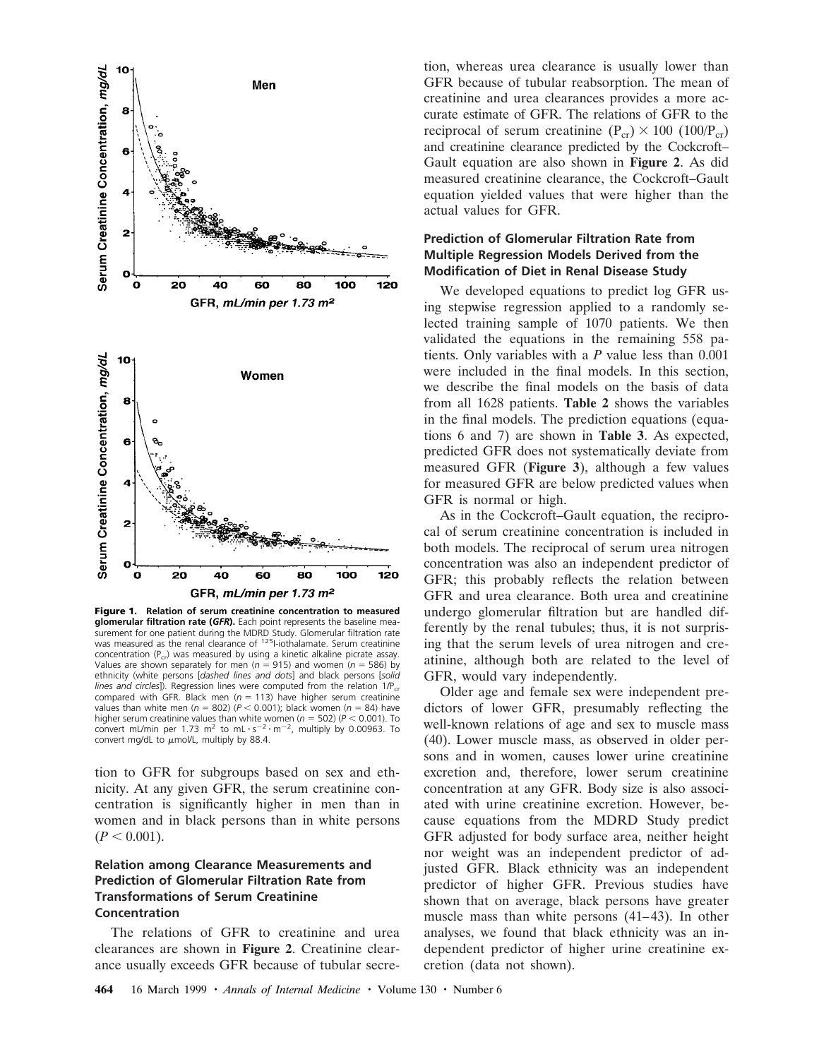

**Figure 1. Relation of serum creatinine concentration to measured glomerular filtration rate (***GFR***).** Each point represents the baseline measurement for one patient during the MDRD Study. Glomerular filtration rate<br>was measured as the renal clearance of <sup>125</sup>I-iothalamate. Serum creatinine concentration  $(P_{cr})$  was measured by using a kinetic alkaline picrate assay. Values are shown separately for men ( $n = 915$ ) and women ( $n = 586$ ) by ethnicity (white persons [*dashed lines and dots*] and black persons [*solid lines and circles*]). Regression lines were computed from the relation 1/P<sub>cr</sub> compared with GFR. Black men ( $n = 113$ ) have higher serum creatinine values than white men  $(n = 802)$   $(P < 0.001)$ ; black women  $(n = 84)$  have higher serum creatinine values than white women (*n* = 502) (*P* < 0.001). To<br>convert mL/min per 1.73 m<sup>2</sup> to mL·s<sup>-2</sup>·m<sup>-2</sup>, multiply by 0.00963. To convert mg/dL to  $\mu$ mol/L, multiply by 88.4.

tion to GFR for subgroups based on sex and ethnicity. At any given GFR, the serum creatinine concentration is significantly higher in men than in women and in black persons than in white persons  $(P < 0.001)$ .

# **Relation among Clearance Measurements and Prediction of Glomerular Filtration Rate from Transformations of Serum Creatinine Concentration**

The relations of GFR to creatinine and urea clearances are shown in **Figure 2**. Creatinine clearance usually exceeds GFR because of tubular secretion, whereas urea clearance is usually lower than GFR because of tubular reabsorption. The mean of creatinine and urea clearances provides a more accurate estimate of GFR. The relations of GFR to the reciprocal of serum creatinine ( $P_{cr}$ )  $\times$  100 (100/ $P_{cr}$ ) and creatinine clearance predicted by the Cockcroft– Gault equation are also shown in **Figure 2**. As did measured creatinine clearance, the Cockcroft–Gault equation yielded values that were higher than the actual values for GFR.

# **Prediction of Glomerular Filtration Rate from Multiple Regression Models Derived from the Modification of Diet in Renal Disease Study**

We developed equations to predict log GFR using stepwise regression applied to a randomly selected training sample of 1070 patients. We then validated the equations in the remaining 558 patients. Only variables with a *P* value less than 0.001 were included in the final models. In this section, we describe the final models on the basis of data from all 1628 patients. **Table 2** shows the variables in the final models. The prediction equations (equations 6 and 7) are shown in **Table 3**. As expected, predicted GFR does not systematically deviate from measured GFR (**Figure 3**), although a few values for measured GFR are below predicted values when GFR is normal or high.

As in the Cockcroft–Gault equation, the reciprocal of serum creatinine concentration is included in both models. The reciprocal of serum urea nitrogen concentration was also an independent predictor of GFR; this probably reflects the relation between GFR and urea clearance. Both urea and creatinine undergo glomerular filtration but are handled differently by the renal tubules; thus, it is not surprising that the serum levels of urea nitrogen and creatinine, although both are related to the level of GFR, would vary independently.

Older age and female sex were independent predictors of lower GFR, presumably reflecting the well-known relations of age and sex to muscle mass (40). Lower muscle mass, as observed in older persons and in women, causes lower urine creatinine excretion and, therefore, lower serum creatinine concentration at any GFR. Body size is also associated with urine creatinine excretion. However, because equations from the MDRD Study predict GFR adjusted for body surface area, neither height nor weight was an independent predictor of adjusted GFR. Black ethnicity was an independent predictor of higher GFR. Previous studies have shown that on average, black persons have greater muscle mass than white persons (41–43). In other analyses, we found that black ethnicity was an independent predictor of higher urine creatinine excretion (data not shown).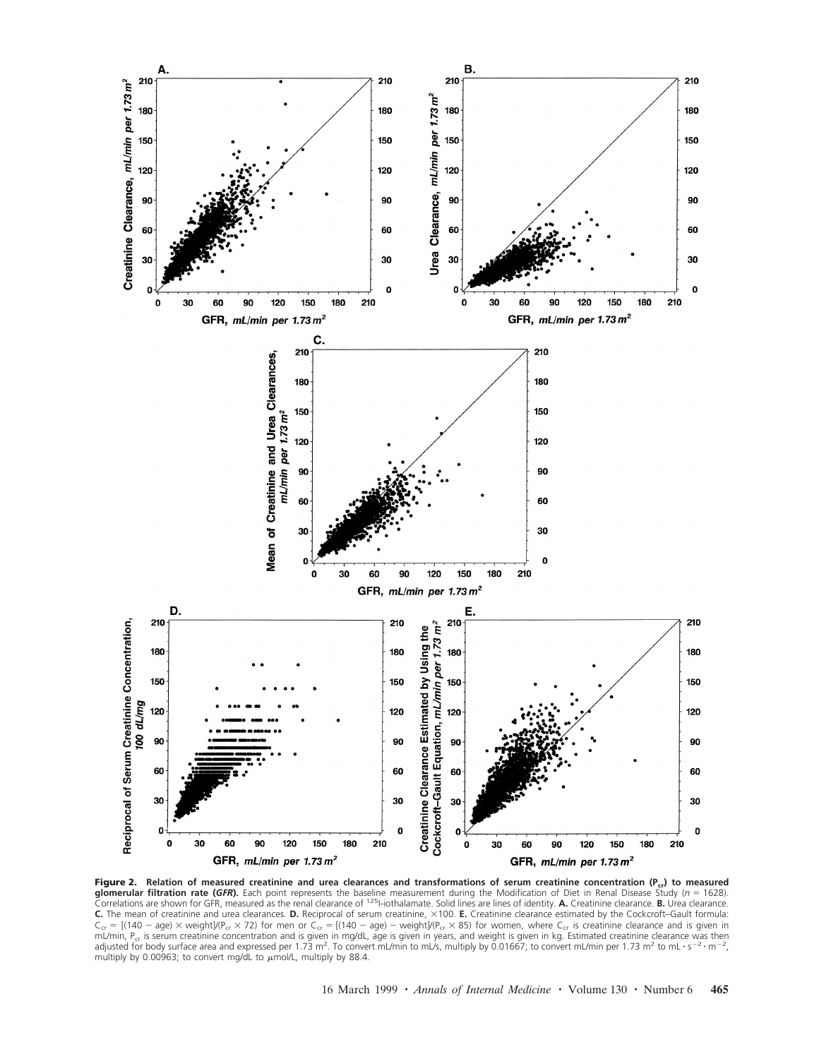

**Figure 2.** Relation of measured creatinine and urea clearances and transformations of serum creatinine concentration (P<sub>cr</sub>) to measured **glomerular filtration rate (GFR).** Each point represents the baseline measurement during the Modification of Diet in Renal Disease Study (n = 1628).<br>Correlations are shown for GFR, measured as the renal clearance of <sup>125</sup> **C.** The mean of creatinine and urea clearances. **D.** Reciprocal of serum creatinine, 3100. **E.** Creatinine clearance estimated by the Cockcroft–Gault formula:  $C_{\rm cr}$  = [(140 – age)  $\times$  weight]/(P<sub>cr</sub>  $\times$  72) for men or C<sub>cr</sub> = [(140 – age) – weight]/(P<sub>cr</sub>  $\times$  85) for women, where C<sub>cr</sub> is creatinine clearance and is given in mL/min, P<sub>cr</sub> is serum creatinine concentration and is given in mg/dL, age is given in years, and weight is given in kg. Estimated creatinine clearance was then adjusted for body surface area and expressed per 1.73 m<sup>2</sup>. To convert mL/min to mL/s, multiply by 0.01667; to convert mL/min per 1.73 m<sup>2</sup> to mL·s<sup>-2</sup>·m<sup>-2</sup>, multiply by 0.00963; to convert mg/dL to  $\mu$ mol/L, multiply by 88.4.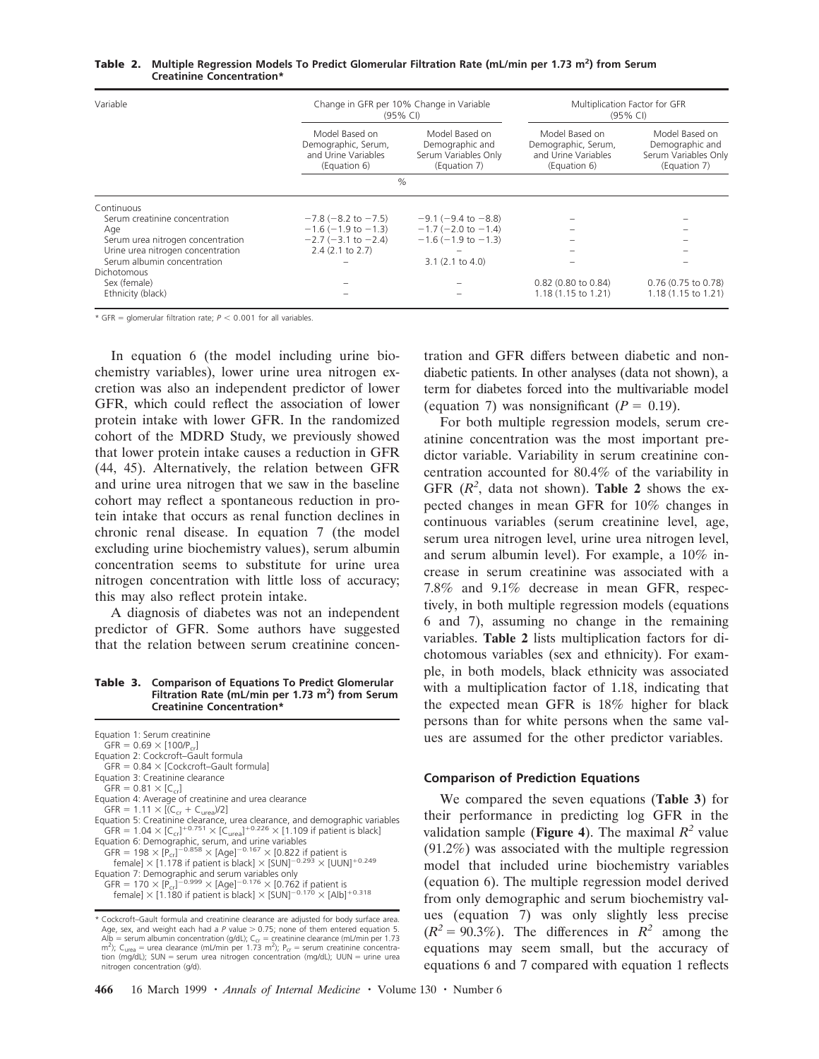| Variable                          |                                                                              | Change in GFR per 10% Change in Variable<br>(95% CI)                      | Multiplication Factor for GFR<br>(95% CI)                                    |                                                                           |
|-----------------------------------|------------------------------------------------------------------------------|---------------------------------------------------------------------------|------------------------------------------------------------------------------|---------------------------------------------------------------------------|
|                                   | Model Based on<br>Demographic, Serum,<br>and Urine Variables<br>(Equation 6) | Model Based on<br>Demographic and<br>Serum Variables Only<br>(Equation 7) | Model Based on<br>Demographic, Serum,<br>and Urine Variables<br>(Equation 6) | Model Based on<br>Demographic and<br>Serum Variables Only<br>(Equation 7) |
|                                   |                                                                              | $\%$                                                                      |                                                                              |                                                                           |
| Continuous                        |                                                                              |                                                                           |                                                                              |                                                                           |
| Serum creatinine concentration    | $-7.8$ ( $-8.2$ to $-7.5$ )                                                  | $-9.1(-9.4$ to $-8.8$ )                                                   |                                                                              |                                                                           |
| Age                               | $-1.6$ ( $-1.9$ to $-1.3$ )                                                  | $-1.7$ (-2.0 to $-1.4$ )                                                  |                                                                              |                                                                           |
| Serum urea nitrogen concentration | $-2.7$ ( $-3.1$ to $-2.4$ )                                                  | $-1.6$ ( $-1.9$ to $-1.3$ )                                               |                                                                              |                                                                           |
| Urine urea nitrogen concentration | $2.4(2.1 \text{ to } 2.7)$                                                   |                                                                           |                                                                              |                                                                           |
| Serum albumin concentration       |                                                                              | $3.1$ (2.1 to 4.0)                                                        |                                                                              |                                                                           |
| <b>Dichotomous</b>                |                                                                              |                                                                           |                                                                              |                                                                           |
| Sex (female)                      |                                                                              |                                                                           | 0.82 (0.80 to 0.84)                                                          | 0.76 (0.75 to 0.78)                                                       |
| Ethnicity (black)                 |                                                                              |                                                                           | 1.18 (1.15 to 1.21)                                                          | 1.18 (1.15 to 1.21)                                                       |

#### **Table 2. Multiple Regression Models To Predict Glomerular Filtration Rate (mL/min per 1.73 m2 ) from Serum Creatinine Concentration\***

\* GFR = glomerular filtration rate;  $P < 0.001$  for all variables.

In equation 6 (the model including urine biochemistry variables), lower urine urea nitrogen excretion was also an independent predictor of lower GFR, which could reflect the association of lower protein intake with lower GFR. In the randomized cohort of the MDRD Study, we previously showed that lower protein intake causes a reduction in GFR (44, 45). Alternatively, the relation between GFR and urine urea nitrogen that we saw in the baseline cohort may reflect a spontaneous reduction in protein intake that occurs as renal function declines in chronic renal disease. In equation 7 (the model excluding urine biochemistry values), serum albumin concentration seems to substitute for urine urea nitrogen concentration with little loss of accuracy; this may also reflect protein intake.

A diagnosis of diabetes was not an independent predictor of GFR. Some authors have suggested that the relation between serum creatinine concen-

**Table 3. Comparison of Equations To Predict Glomerular Filtration Rate (mL/min per 1.73 m2 ) from Serum Creatinine Concentration\***

| Equation 1: Serum creatinine                                                                                                                  |
|-----------------------------------------------------------------------------------------------------------------------------------------------|
| GFR = $0.69 \times [100/P_{cr}]$                                                                                                              |
| Equation 2: Cockcroft-Gault formula                                                                                                           |
| $GFR = 0.84 \times$ [Cockcroft-Gault formula]                                                                                                 |
| Equation 3: Creatinine clearance                                                                                                              |
| GFR = $0.81 \times [C_{cr}]$                                                                                                                  |
| Equation 4: Average of creatinine and urea clearance                                                                                          |
| GFR = $1.11 \times [(C_{cr} + C_{tree})/2]$                                                                                                   |
| Equation 5: Creatinine clearance, urea clearance, and demographic variables                                                                   |
| GFR = 1.04 $\times$ [C <sub>cc</sub> ] <sup>+0.751</sup> $\times$ [C <sub>urea</sub> ] <sup>+0.226</sup> $\times$ [1.109 if patient is black] |
| Equation 6: Demographic, serum, and urine variables                                                                                           |
| GFR = 198 $\times$ [P <sub>cc</sub> ] <sup>-0.858</sup> $\times$ [Age] <sup>-0.167</sup> $\times$ [0.822 if patient is                        |
| female] $\times$ [1.178 if patient is black] $\times$ [SUN] <sup>-0.293</sup> $\times$ [UUN] <sup>+0.249</sup>                                |
| Equation 7: Demographic and serum variables only                                                                                              |
| GFR = 170 $\times$ $[$ P <sub>cs</sub> $]$ <sup>-0.999</sup> $\times$ [Age] <sup>-0.176</sup> $\times$ [0.762 if patient is                   |
| female] $\times$ [1.180 if patient is black] $\times$ [SUN] <sup>-0.170</sup> $\times$ [Alb] <sup>+0.318</sup>                                |
|                                                                                                                                               |

<sup>\*</sup> Cockcroft–Gault formula and creatinine clearance are adjusted for body surface area. Age, sex, and weight each had a P value > 0.75; none of them entered equation 5.<br>Alb = serum albumin concentration (g/dL); C<sub>er</sub> = creatinine clearance (mL/min per 1.73<br>m<sup>2</sup>); C<sub>urea</sub> = urea clearance (mL/min per 1.73 m<sup>2</sup> tion (mg/dL); SUN = serum urea nitrogen concentration (mg/dL); UUN = urine urea nitrogen concentration (g/d).

tration and GFR differs between diabetic and nondiabetic patients. In other analyses (data not shown), a term for diabetes forced into the multivariable model (equation 7) was nonsignificant  $(P = 0.19)$ .

For both multiple regression models, serum creatinine concentration was the most important predictor variable. Variability in serum creatinine concentration accounted for 80.4% of the variability in GFR  $(R^2)$ , data not shown). **Table 2** shows the expected changes in mean GFR for 10% changes in continuous variables (serum creatinine level, age, serum urea nitrogen level, urine urea nitrogen level, and serum albumin level). For example, a 10% increase in serum creatinine was associated with a 7.8% and 9.1% decrease in mean GFR, respectively, in both multiple regression models (equations 6 and 7), assuming no change in the remaining variables. **Table 2** lists multiplication factors for dichotomous variables (sex and ethnicity). For example, in both models, black ethnicity was associated with a multiplication factor of 1.18, indicating that the expected mean GFR is 18% higher for black persons than for white persons when the same values are assumed for the other predictor variables.

#### **Comparison of Prediction Equations**

We compared the seven equations (**Table 3**) for their performance in predicting log GFR in the validation sample (**Figure 4**). The maximal  $R^2$  value  $(91.2\%)$  was associated with the multiple regression model that included urine biochemistry variables (equation 6). The multiple regression model derived from only demographic and serum biochemistry values (equation 7) was only slightly less precise  $(R^2 = 90.3\%)$ . The differences in  $R^2$  among the equations may seem small, but the accuracy of equations 6 and 7 compared with equation 1 reflects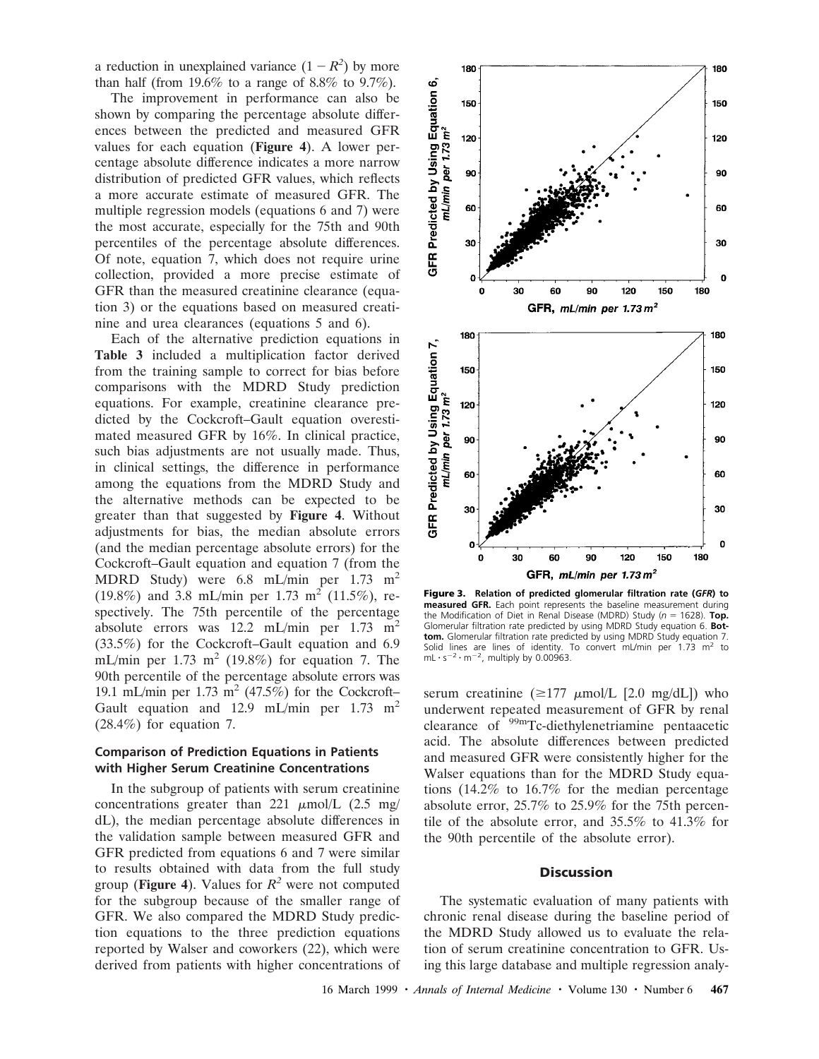a reduction in unexplained variance  $(1 - R^2)$  by more than half (from 19.6% to a range of 8.8% to 9.7%).

The improvement in performance can also be shown by comparing the percentage absolute differences between the predicted and measured GFR values for each equation (**Figure 4**). A lower percentage absolute difference indicates a more narrow distribution of predicted GFR values, which reflects a more accurate estimate of measured GFR. The multiple regression models (equations 6 and 7) were the most accurate, especially for the 75th and 90th percentiles of the percentage absolute differences. Of note, equation 7, which does not require urine collection, provided a more precise estimate of GFR than the measured creatinine clearance (equation 3) or the equations based on measured creatinine and urea clearances (equations 5 and 6).

Each of the alternative prediction equations in **Table 3** included a multiplication factor derived from the training sample to correct for bias before comparisons with the MDRD Study prediction equations. For example, creatinine clearance predicted by the Cockcroft–Gault equation overestimated measured GFR by 16%. In clinical practice, such bias adjustments are not usually made. Thus, in clinical settings, the difference in performance among the equations from the MDRD Study and the alternative methods can be expected to be greater than that suggested by **Figure 4**. Without adjustments for bias, the median absolute errors (and the median percentage absolute errors) for the Cockcroft–Gault equation and equation 7 (from the MDRD Study) were 6.8 mL/min per 1.73 m<sup>2</sup>  $(19.8\%)$  and 3.8 mL/min per 1.73 m<sup>2</sup> (11.5%), respectively. The 75th percentile of the percentage absolute errors was 12.2 mL/min per 1.73 m<sup>2</sup> (33.5%) for the Cockcroft–Gault equation and 6.9 mL/min per 1.73 m<sup>2</sup> (19.8%) for equation 7. The 90th percentile of the percentage absolute errors was 19.1 mL/min per 1.73 m<sup>2</sup> (47.5%) for the Cockcroft– Gault equation and 12.9 mL/min per 1.73 m<sup>2</sup>  $(28.4\%)$  for equation 7.

# **Comparison of Prediction Equations in Patients with Higher Serum Creatinine Concentrations**

In the subgroup of patients with serum creatinine concentrations greater than 221  $\mu$ mol/L (2.5 mg/ dL), the median percentage absolute differences in the validation sample between measured GFR and GFR predicted from equations 6 and 7 were similar to results obtained with data from the full study group (**Figure 4**). Values for *R2* were not computed for the subgroup because of the smaller range of GFR. We also compared the MDRD Study prediction equations to the three prediction equations reported by Walser and coworkers (22), which were derived from patients with higher concentrations of



**Figure 3. Relation of predicted glomerular filtration rate (***GFR***) to measured GFR.** Each point represents the baseline measurement during the Modification of Diet in Renal Disease (MDRD) Study  $(n = 1628)$ . **Top.** Glomerular filtration rate predicted by using MDRD Study equation 6. **Bottom.** Glomerular filtration rate predicted by using MDRD Study equation 7. Solid lines are lines of identity. To convert  $mL/min$  per 1.73  $m<sup>2</sup>$  to mL $\cdot$ s<sup>-2</sup> $\cdot$  m<sup>-2</sup>, multiply by 0.00963.

serum creatinine ( $\geq$ 177  $\mu$ mol/L [2.0 mg/dL]) who underwent repeated measurement of GFR by renal clearance of  $\frac{99m}{c}$ -diethylenetriamine pentaacetic acid. The absolute differences between predicted and measured GFR were consistently higher for the Walser equations than for the MDRD Study equations (14.2% to 16.7% for the median percentage absolute error, 25.7% to 25.9% for the 75th percentile of the absolute error, and 35.5% to 41.3% for the 90th percentile of the absolute error).

#### **Discussion**

The systematic evaluation of many patients with chronic renal disease during the baseline period of the MDRD Study allowed us to evaluate the relation of serum creatinine concentration to GFR. Using this large database and multiple regression analy-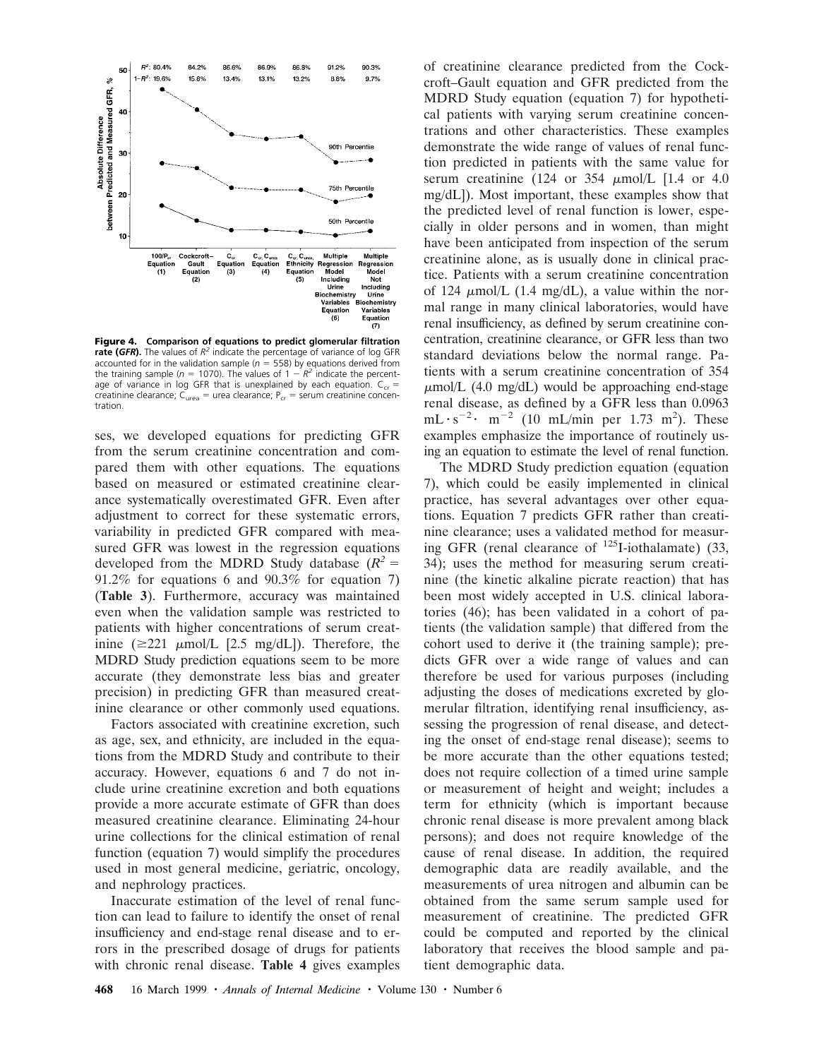

**Figure 4. Comparison of equations to predict glomerular filtration rate (***GFR***).** The values of *R<sup>2</sup>* indicate the percentage of variance of log GFR accounted for in the validation sample ( $n = 558$ ) by equations derived from the training sample ( $n = 1070$ ). The values of  $1 - R^2$  indicate the percentage of variance in log GFR that is unexplained by each equation.  $C_{cr}$  = creatinine clearance;  $C_{\text{area}}$  = urea clearance;  $P_{\text{cr}}$  = serum creatinine concentration.

ses, we developed equations for predicting GFR from the serum creatinine concentration and compared them with other equations. The equations based on measured or estimated creatinine clearance systematically overestimated GFR. Even after adjustment to correct for these systematic errors, variability in predicted GFR compared with measured GFR was lowest in the regression equations developed from the MDRD Study database  $(R^2 =$ 91.2% for equations 6 and 90.3% for equation 7) (**Table 3**). Furthermore, accuracy was maintained even when the validation sample was restricted to patients with higher concentrations of serum creatinine ( $\geq$ 221  $\mu$ mol/L [2.5 mg/dL]). Therefore, the MDRD Study prediction equations seem to be more accurate (they demonstrate less bias and greater precision) in predicting GFR than measured creatinine clearance or other commonly used equations.

Factors associated with creatinine excretion, such as age, sex, and ethnicity, are included in the equations from the MDRD Study and contribute to their accuracy. However, equations 6 and 7 do not include urine creatinine excretion and both equations provide a more accurate estimate of GFR than does measured creatinine clearance. Eliminating 24-hour urine collections for the clinical estimation of renal function (equation 7) would simplify the procedures used in most general medicine, geriatric, oncology, and nephrology practices.

Inaccurate estimation of the level of renal function can lead to failure to identify the onset of renal insufficiency and end-stage renal disease and to errors in the prescribed dosage of drugs for patients with chronic renal disease. **Table 4** gives examples of creatinine clearance predicted from the Cockcroft–Gault equation and GFR predicted from the MDRD Study equation (equation 7) for hypothetical patients with varying serum creatinine concentrations and other characteristics. These examples demonstrate the wide range of values of renal function predicted in patients with the same value for serum creatinine (124 or 354  $\mu$ mol/L [1.4 or 4.0] mg/dL]). Most important, these examples show that the predicted level of renal function is lower, especially in older persons and in women, than might have been anticipated from inspection of the serum creatinine alone, as is usually done in clinical practice. Patients with a serum creatinine concentration of 124  $\mu$ mol/L (1.4 mg/dL), a value within the normal range in many clinical laboratories, would have renal insufficiency, as defined by serum creatinine concentration, creatinine clearance, or GFR less than two standard deviations below the normal range. Patients with a serum creatinine concentration of 354  $\mu$ mol/L (4.0 mg/dL) would be approaching end-stage renal disease, as defined by a GFR less than 0.0963  $mL \cdot s^{-2}$  m<sup>-2</sup> (10 mL/min per 1.73 m<sup>2</sup>). These examples emphasize the importance of routinely using an equation to estimate the level of renal function.

The MDRD Study prediction equation (equation 7), which could be easily implemented in clinical practice, has several advantages over other equations. Equation 7 predicts GFR rather than creatinine clearance; uses a validated method for measuring GFR (renal clearance of  $^{125}$ I-iothalamate) (33, 34); uses the method for measuring serum creatinine (the kinetic alkaline picrate reaction) that has been most widely accepted in U.S. clinical laboratories (46); has been validated in a cohort of patients (the validation sample) that differed from the cohort used to derive it (the training sample); predicts GFR over a wide range of values and can therefore be used for various purposes (including adjusting the doses of medications excreted by glomerular filtration, identifying renal insufficiency, assessing the progression of renal disease, and detecting the onset of end-stage renal disease); seems to be more accurate than the other equations tested; does not require collection of a timed urine sample or measurement of height and weight; includes a term for ethnicity (which is important because chronic renal disease is more prevalent among black persons); and does not require knowledge of the cause of renal disease. In addition, the required demographic data are readily available, and the measurements of urea nitrogen and albumin can be obtained from the same serum sample used for measurement of creatinine. The predicted GFR could be computed and reported by the clinical laboratory that receives the blood sample and patient demographic data.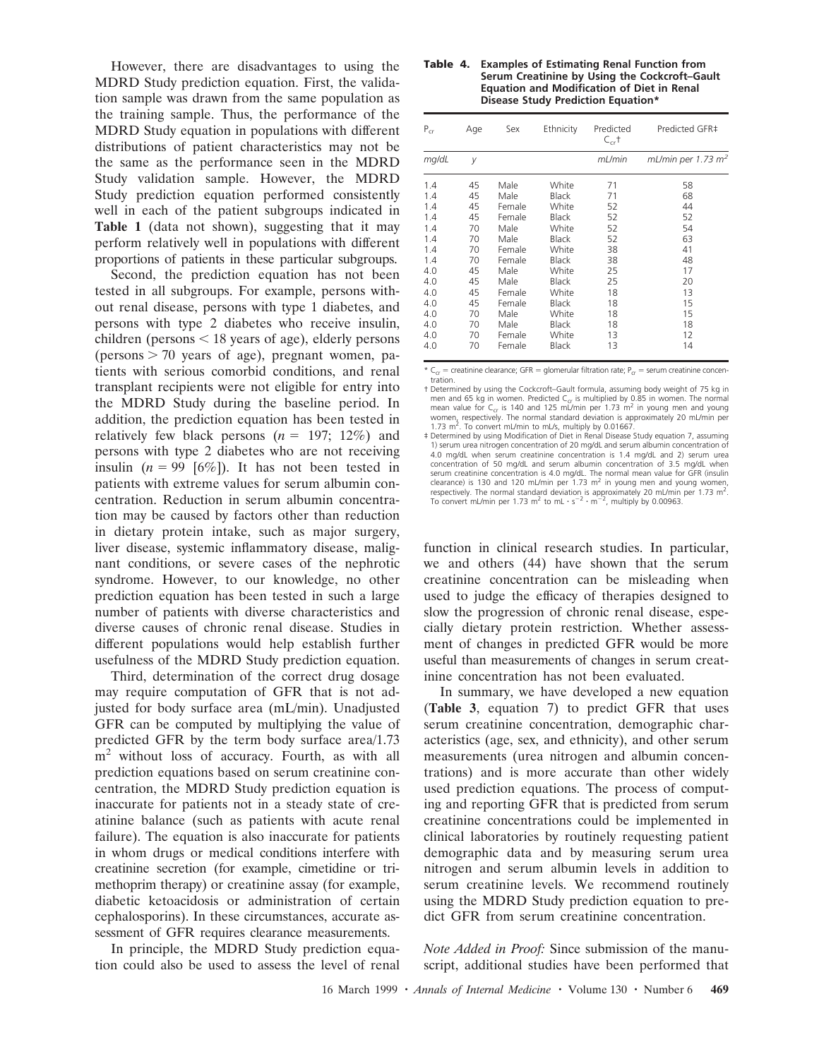However, there are disadvantages to using the MDRD Study prediction equation. First, the validation sample was drawn from the same population as the training sample. Thus, the performance of the MDRD Study equation in populations with different distributions of patient characteristics may not be the same as the performance seen in the MDRD Study validation sample. However, the MDRD Study prediction equation performed consistently well in each of the patient subgroups indicated in **Table 1** (data not shown), suggesting that it may perform relatively well in populations with different proportions of patients in these particular subgroups.

Second, the prediction equation has not been tested in all subgroups. For example, persons without renal disease, persons with type 1 diabetes, and persons with type 2 diabetes who receive insulin, children (persons  $\leq 18$  years of age), elderly persons (persons  $> 70$  years of age), pregnant women, patients with serious comorbid conditions, and renal transplant recipients were not eligible for entry into the MDRD Study during the baseline period. In addition, the prediction equation has been tested in relatively few black persons  $(n = 197; 12\%)$  and persons with type 2 diabetes who are not receiving insulin  $(n = 99 \mid 6\%)$ . It has not been tested in patients with extreme values for serum albumin concentration. Reduction in serum albumin concentration may be caused by factors other than reduction in dietary protein intake, such as major surgery, liver disease, systemic inflammatory disease, malignant conditions, or severe cases of the nephrotic syndrome. However, to our knowledge, no other prediction equation has been tested in such a large number of patients with diverse characteristics and diverse causes of chronic renal disease. Studies in different populations would help establish further usefulness of the MDRD Study prediction equation.

Third, determination of the correct drug dosage may require computation of GFR that is not adjusted for body surface area (mL/min). Unadjusted GFR can be computed by multiplying the value of predicted GFR by the term body surface area/1.73  $m<sup>2</sup>$  without loss of accuracy. Fourth, as with all prediction equations based on serum creatinine concentration, the MDRD Study prediction equation is inaccurate for patients not in a steady state of creatinine balance (such as patients with acute renal failure). The equation is also inaccurate for patients in whom drugs or medical conditions interfere with creatinine secretion (for example, cimetidine or trimethoprim therapy) or creatinine assay (for example, diabetic ketoacidosis or administration of certain cephalosporins). In these circumstances, accurate assessment of GFR requires clearance measurements.

In principle, the MDRD Study prediction equation could also be used to assess the level of renal

#### **Table 4. Examples of Estimating Renal Function from Serum Creatinine by Using the Cockcroft–Gault Equation and Modification of Diet in Renal Disease Study Prediction Equation\***

| $P_{cr}$ | Age | Sex    | Ethnicity | Predicted<br>$C_{cr}$ † | Predicted GFR‡       |
|----------|-----|--------|-----------|-------------------------|----------------------|
| mg/dL    | y   |        |           | mL/min                  | mL/min per 1.73 $m2$ |
| 1.4      | 45  | Male   | White     | 71                      | 58                   |
| 1.4      | 45  | Male   | Black     | 71                      | 68                   |
| 1.4      | 45  | Female | White     | 52                      | 44                   |
| 1.4      | 45  | Female | Black     | 52                      | 52                   |
| 1.4      | 70  | Male   | White     | 52                      | 54                   |
| 1.4      | 70  | Male   | Black     | 52                      | 63                   |
| 1.4      | 70  | Female | White     | 38                      | 41                   |
| 1.4      | 70  | Female | Black     | 38                      | 48                   |
| 4.0      | 45  | Male   | White     | 25                      | 17                   |
| 4.0      | 45  | Male   | Black     | 25                      | 20                   |
| 4.0      | 45  | Female | White     | 18                      | 13                   |
| 4.0      | 45  | Female | Black     | 18                      | 15                   |
| 4.0      | 70  | Male   | White     | 18                      | 15                   |
| 4.0      | 70  | Male   | Black     | 18                      | 18                   |
| 4.0      | 70  | Female | White     | 13                      | 12                   |
| 4.0      | 70  | Female | Black     | 13                      | 14                   |

\*  $C_{cr}$  = creatinine clearance; GFR = glomerular filtration rate; P<sub>cr</sub> = serum creatinine concentration.

† Determined by using the Cockcroft–Gault formula, assuming body weight of 75 kg in men and 65 kg in women. Predicted C<sub>cr</sub> is multiplied by 0.85 in women. The normal<br>mean value for C<sub>cr</sub> is 140 and 125 mL/min per 1.73 m<sup>2</sup> in young men and young women, respectively. The normal standard deviation is approximately 20 mL/min per<br>1.7.3 m<sup>2</sup>. To convert mL/min to mL/s, multiply by 0.01667.<br>1. Determined by using Modification of Diet in Renal Disease Study equation 7, a

1) serum urea nitrogen concentration of 20 mg/dL and serum albumin concentration of 4.0 mg/dL when serum creatinine concentration is 1.4 mg/dL and 2) serum urea concentration of 50 mg/dL and serum albumin concentration of 3.5 mg/dL when serum creatinine concentration is 4.0 mg/dL. The normal mean value for GFR (insulin clearance) is 130 and 120 mL/min per 1.73 m<sup>2</sup> in young men and young women, respectively. The normal standard deviation is approximately 20 mL/min per 1.73 m<sup>2</sup>.<br>To convert mL/min per 1.73 m<sup>2</sup> to mL · s<sup>-2</sup> · m<sup>-2</sup>, multiply by 0.00963.

function in clinical research studies. In particular, we and others (44) have shown that the serum creatinine concentration can be misleading when used to judge the efficacy of therapies designed to slow the progression of chronic renal disease, especially dietary protein restriction. Whether assessment of changes in predicted GFR would be more useful than measurements of changes in serum creatinine concentration has not been evaluated.

In summary, we have developed a new equation (**Table 3**, equation 7) to predict GFR that uses serum creatinine concentration, demographic characteristics (age, sex, and ethnicity), and other serum measurements (urea nitrogen and albumin concentrations) and is more accurate than other widely used prediction equations. The process of computing and reporting GFR that is predicted from serum creatinine concentrations could be implemented in clinical laboratories by routinely requesting patient demographic data and by measuring serum urea nitrogen and serum albumin levels in addition to serum creatinine levels. We recommend routinely using the MDRD Study prediction equation to predict GFR from serum creatinine concentration.

*Note Added in Proof:* Since submission of the manuscript, additional studies have been performed that